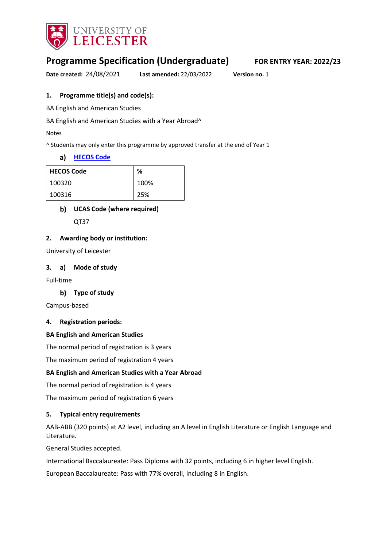

# **Programme Specification (Undergraduate) FOR ENTRY YEAR: 2022/23**

**Date created:** 24/08/2021 **Last amended:** 22/03/2022 **Version no.** 1

### **1. Programme title(s) and code(s):**

BA English and American Studies

BA English and American Studies with a Year Abroad^

Notes

^ Students may only enter this programme by approved transfer at the end of Year 1

#### **[HECOS Code](https://www.hesa.ac.uk/innovation/hecos)**

| <b>HECOS Code</b> | %    |
|-------------------|------|
| 100320            | 100% |
| 100316            | 25%  |

#### **UCAS Code (where required)**

QT37

#### **2. Awarding body or institution:**

University of Leicester

#### **3. a) Mode of study**

Full-time

#### **Type of study**

Campus-based

#### **4. Registration periods:**

#### **BA English and American Studies**

The normal period of registration is 3 years

The maximum period of registration 4 years

#### **BA English and American Studies with a Year Abroad**

The normal period of registration is 4 years

The maximum period of registration 6 years

#### **5. Typical entry requirements**

AAB-ABB (320 points) at A2 level, including an A level in English Literature or English Language and Literature.

General Studies accepted.

International Baccalaureate: Pass Diploma with 32 points, including 6 in higher level English.

European Baccalaureate: Pass with 77% overall, including 8 in English.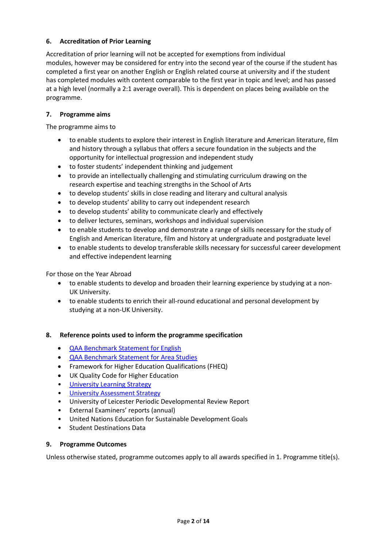### **6. Accreditation of Prior Learning**

Accreditation of prior learning will not be accepted for exemptions from individual modules, however may be considered for entry into the second year of the course if the student has completed a first year on another English or English related course at university and if the student has completed modules with content comparable to the first year in topic and level; and has passed at a high level (normally a 2:1 average overall). This is dependent on places being available on the programme.

### **7. Programme aims**

The programme aims to

- to enable students to explore their interest in English literature and American literature, film and history through a syllabus that offers a secure foundation in the subjects and the opportunity for intellectual progression and independent study
- to foster students' independent thinking and judgement
- to provide an intellectually challenging and stimulating curriculum drawing on the research expertise and teaching strengths in the School of Arts
- to develop students' skills in close reading and literary and cultural analysis
- to develop students' ability to carry out independent research
- to develop students' ability to communicate clearly and effectively
- to deliver lectures, seminars, workshops and individual supervision
- to enable students to develop and demonstrate a range of skills necessary for the study of English and American literature, film and history at undergraduate and postgraduate level
- to enable students to develop transferable skills necessary for successful career development and effective independent learning

For those on the Year Abroad

- to enable students to develop and broaden their learning experience by studying at a non-UK University.
- to enable students to enrich their all-round educational and personal development by studying at a non-UK University.

### **8. Reference points used to inform the programme specification**

- [QAA Benchmark Statement for English](https://www.qaa.ac.uk/docs/qaa/subject-benchmark-statements/subject-benchmark-statement-english.pdf)
- [QAA Benchmark Statement for Area Studies](https://www.qaa.ac.uk/docs/qaa/subject-benchmark-statements/subject-benchmark-statement-area-studies.pdf?sfvrsn=1ee2cb81_5)
- Framework for Higher Education Qualifications (FHEQ)
- UK Quality Code for Higher Education
- University Learnin[g Strategy](https://www2.le.ac.uk/offices/sas2/quality/learnteach)
- [University Assessment Strategy](https://www2.le.ac.uk/offices/sas2/quality/learnteach)
- University of Leicester Periodic Developmental Review Report
- External Examiners' reports (annual)
- United Nations Education for Sustainable Development Goals
- Student Destinations Data

### **9. Programme Outcomes**

Unless otherwise stated, programme outcomes apply to all awards specified in 1. Programme title(s).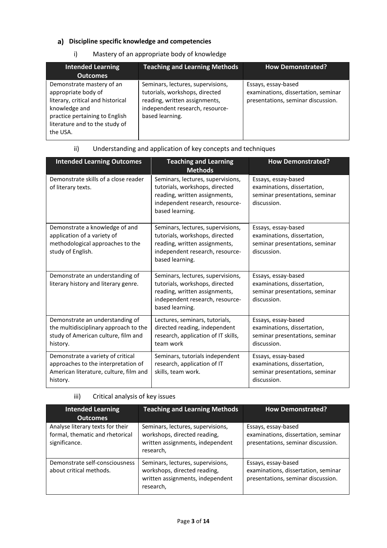### **Discipline specific knowledge and competencies**

### i) Mastery of an appropriate body of knowledge

| <b>Intended Learning</b><br>Outcomes                                                                                                                                                   | <b>Teaching and Learning Methods</b>                                                                                                                       | <b>How Demonstrated?</b>                                                                         |
|----------------------------------------------------------------------------------------------------------------------------------------------------------------------------------------|------------------------------------------------------------------------------------------------------------------------------------------------------------|--------------------------------------------------------------------------------------------------|
| Demonstrate mastery of an<br>appropriate body of<br>literary, critical and historical<br>knowledge and<br>practice pertaining to English<br>literature and to the study of<br>the USA. | Seminars, lectures, supervisions,<br>tutorials, workshops, directed<br>reading, written assignments,<br>independent research, resource-<br>based learning. | Essays, essay-based<br>examinations, dissertation, seminar<br>presentations, seminar discussion. |

### ii) Understanding and application of key concepts and techniques

| <b>Intended Learning Outcomes</b>                                                                                              | <b>Teaching and Learning</b><br><b>Methods</b>                                                                                                             | <b>How Demonstrated?</b>                                                                            |
|--------------------------------------------------------------------------------------------------------------------------------|------------------------------------------------------------------------------------------------------------------------------------------------------------|-----------------------------------------------------------------------------------------------------|
| Demonstrate skills of a close reader<br>of literary texts.                                                                     | Seminars, lectures, supervisions,<br>tutorials, workshops, directed<br>reading, written assignments,<br>independent research, resource-<br>based learning. | Essays, essay-based<br>examinations, dissertation,<br>seminar presentations, seminar<br>discussion. |
| Demonstrate a knowledge of and<br>application of a variety of<br>methodological approaches to the<br>study of English.         | Seminars, lectures, supervisions,<br>tutorials, workshops, directed<br>reading, written assignments,<br>independent research, resource-<br>based learning. | Essays, essay-based<br>examinations, dissertation,<br>seminar presentations, seminar<br>discussion. |
| Demonstrate an understanding of<br>literary history and literary genre.                                                        | Seminars, lectures, supervisions,<br>tutorials, workshops, directed<br>reading, written assignments,<br>independent research, resource-<br>based learning. | Essays, essay-based<br>examinations, dissertation,<br>seminar presentations, seminar<br>discussion. |
| Demonstrate an understanding of<br>the multidisciplinary approach to the<br>study of American culture, film and<br>history.    | Lectures, seminars, tutorials,<br>directed reading, independent<br>research, application of IT skills,<br>team work                                        | Essays, essay-based<br>examinations, dissertation,<br>seminar presentations, seminar<br>discussion. |
| Demonstrate a variety of critical<br>approaches to the interpretation of<br>American literature, culture, film and<br>history. | Seminars, tutorials independent<br>research, application of IT<br>skills, team work.                                                                       | Essays, essay-based<br>examinations, dissertation,<br>seminar presentations, seminar<br>discussion. |

### iii) Critical analysis of key issues

| <b>Intended Learning</b><br><b>Outcomes</b>                                          | <b>Teaching and Learning Methods</b>                                                                               | <b>How Demonstrated?</b>                                                                         |
|--------------------------------------------------------------------------------------|--------------------------------------------------------------------------------------------------------------------|--------------------------------------------------------------------------------------------------|
| Analyse literary texts for their<br>formal, thematic and rhetorical<br>significance. | Seminars, lectures, supervisions,<br>workshops, directed reading,<br>written assignments, independent<br>research, | Essays, essay-based<br>examinations, dissertation, seminar<br>presentations, seminar discussion. |
| Demonstrate self-consciousness<br>about critical methods.                            | Seminars, lectures, supervisions,<br>workshops, directed reading,<br>written assignments, independent<br>research, | Essays, essay-based<br>examinations, dissertation, seminar<br>presentations, seminar discussion. |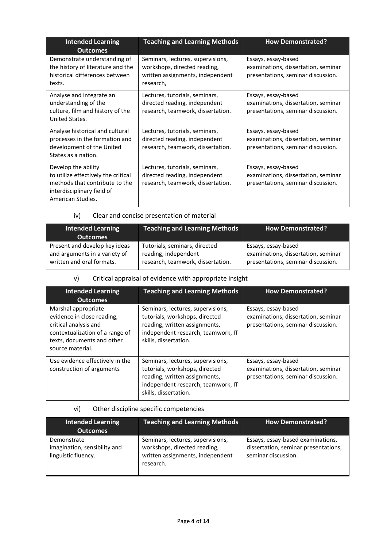| <b>Intended Learning</b><br><b>Outcomes</b>                                                                                                     | <b>Teaching and Learning Methods</b>                                                                               | <b>How Demonstrated?</b>                                                                         |
|-------------------------------------------------------------------------------------------------------------------------------------------------|--------------------------------------------------------------------------------------------------------------------|--------------------------------------------------------------------------------------------------|
| Demonstrate understanding of<br>the history of literature and the<br>historical differences between<br>texts.                                   | Seminars, lectures, supervisions,<br>workshops, directed reading,<br>written assignments, independent<br>research, | Essays, essay-based<br>examinations, dissertation, seminar<br>presentations, seminar discussion. |
| Analyse and integrate an<br>understanding of the<br>culture, film and history of the<br>United States.                                          | Lectures, tutorials, seminars,<br>directed reading, independent<br>research, teamwork, dissertation.               | Essays, essay-based<br>examinations, dissertation, seminar<br>presentations, seminar discussion. |
| Analyse historical and cultural<br>processes in the formation and<br>development of the United<br>States as a nation.                           | Lectures, tutorials, seminars,<br>directed reading, independent<br>research, teamwork, dissertation.               | Essays, essay-based<br>examinations, dissertation, seminar<br>presentations, seminar discussion. |
| Develop the ability<br>to utilize effectively the critical<br>methods that contribute to the<br>interdisciplinary field of<br>American Studies. | Lectures, tutorials, seminars,<br>directed reading, independent<br>research, teamwork, dissertation.               | Essays, essay-based<br>examinations, dissertation, seminar<br>presentations, seminar discussion. |

iv) Clear and concise presentation of material

| <b>Intended Learning</b><br><b>Outcomes</b> | <b>Teaching and Learning Methods</b> | <b>How Demonstrated?</b>            |
|---------------------------------------------|--------------------------------------|-------------------------------------|
| Present and develop key ideas               | Tutorials, seminars, directed        | Essays, essay-based                 |
| and arguments in a variety of               | reading, independent                 | examinations, dissertation, seminar |
| written and oral formats.                   | research, teamwork, dissertation.    | presentations, seminar discussion.  |

### v) Critical appraisal of evidence with appropriate insight

| <b>Intended Learning</b><br><b>Outcomes</b>                                                                                                                     | <b>Teaching and Learning Methods</b>                                                                                                                                | <b>How Demonstrated?</b>                                                                         |
|-----------------------------------------------------------------------------------------------------------------------------------------------------------------|---------------------------------------------------------------------------------------------------------------------------------------------------------------------|--------------------------------------------------------------------------------------------------|
| Marshal appropriate<br>evidence in close reading,<br>critical analysis and<br>contextualization of a range of<br>texts, documents and other<br>source material. | Seminars, lectures, supervisions,<br>tutorials, workshops, directed<br>reading, written assignments,<br>independent research, teamwork, IT<br>skills, dissertation. | Essays, essay-based<br>examinations, dissertation, seminar<br>presentations, seminar discussion. |
| Use evidence effectively in the<br>construction of arguments                                                                                                    | Seminars, lectures, supervisions,<br>tutorials, workshops, directed<br>reading, written assignments,<br>independent research, teamwork, IT<br>skills, dissertation. | Essays, essay-based<br>examinations, dissertation, seminar<br>presentations, seminar discussion. |

### vi) Other discipline specific competencies

| <b>Intended Learning</b><br><b>Outcomes</b>                        | <b>Teaching and Learning Methods</b>                                                                               | <b>How Demonstrated?</b>                                                                         |
|--------------------------------------------------------------------|--------------------------------------------------------------------------------------------------------------------|--------------------------------------------------------------------------------------------------|
| Demonstrate<br>imagination, sensibility and<br>linguistic fluency. | Seminars, lectures, supervisions,<br>workshops, directed reading,<br>written assignments, independent<br>research. | Essays, essay-based examinations,<br>dissertation, seminar presentations,<br>seminar discussion. |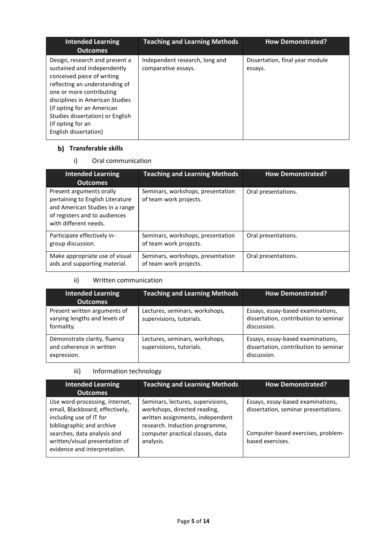| <b>Intended Learning</b><br><b>Outcomes</b>                                                                                                                                                                                                                                                                  | <b>Teaching and Learning Methods</b>                  | <b>How Demonstrated?</b>                   |
|--------------------------------------------------------------------------------------------------------------------------------------------------------------------------------------------------------------------------------------------------------------------------------------------------------------|-------------------------------------------------------|--------------------------------------------|
| Design, research and present a<br>sustained and independently<br>conceived piece of writing<br>reflecting an understanding of<br>one or more contributing<br>disciplines in American Studies<br>(if opting for an American<br>Studies dissertation) or English<br>(if opting for an<br>English dissertation) | Independent research, long and<br>comparative essays. | Dissertation, final year module<br>essays. |

## **Transferable skills**

i) Oral communication

| <b>Intended Learning</b><br><b>Outcomes</b>                                                                                                               | <b>Teaching and Learning Methods</b>                        | <b>How Demonstrated?</b> |
|-----------------------------------------------------------------------------------------------------------------------------------------------------------|-------------------------------------------------------------|--------------------------|
| Present arguments orally<br>pertaining to English Literature<br>and American Studies in a range<br>of registers and to audiences<br>with different needs. | Seminars, workshops, presentation<br>of team work projects. | Oral presentations.      |
| Participate effectively in-<br>group discussion.                                                                                                          | Seminars, workshops, presentation<br>of team work projects. | Oral presentations.      |
| Make appropriate use of visual<br>aids and supporting material.                                                                                           | Seminars, workshops, presentation<br>of team work projects. | Oral presentations.      |

### ii) Written communication

| <b>Intended Learning</b><br><b>Outcomes</b>                                 | <b>Teaching and Learning Methods</b>                       | <b>How Demonstrated?</b>                                                                  |
|-----------------------------------------------------------------------------|------------------------------------------------------------|-------------------------------------------------------------------------------------------|
| Present written arguments of<br>varying lengths and levels of<br>formality. | Lectures, seminars, workshops,<br>supervisions, tutorials. | Essays, essay-based examinations,<br>dissertation, contribution to seminar<br>discussion. |
| Demonstrate clarity, fluency<br>and coherence in written<br>expression.     | Lectures, seminars, workshops,<br>supervisions, tutorials. | Essays, essay-based examinations,<br>dissertation, contribution to seminar<br>discussion. |

## iii) Information technology

| <b>Intended Learning</b><br><b>Outcomes</b>                                                                                                                                                                                | <b>Teaching and Learning Methods</b>                                                                                                                                                     | <b>How Demonstrated?</b>                                                                                                            |
|----------------------------------------------------------------------------------------------------------------------------------------------------------------------------------------------------------------------------|------------------------------------------------------------------------------------------------------------------------------------------------------------------------------------------|-------------------------------------------------------------------------------------------------------------------------------------|
| Use word-processing, internet,<br>email, Blackboard, effectively,<br>including use of IT for<br>bibliographic and archive<br>searches, data analysis and<br>written/visual presentation of<br>evidence and interpretation. | Seminars, lectures, supervisions,<br>workshops, directed reading,<br>written assignments, independent<br>research. Induction programme,<br>computer practical classes, data<br>analysis. | Essays, essay-based examinations,<br>dissertation, seminar presentations.<br>Computer-based exercises, problem-<br>based exercises. |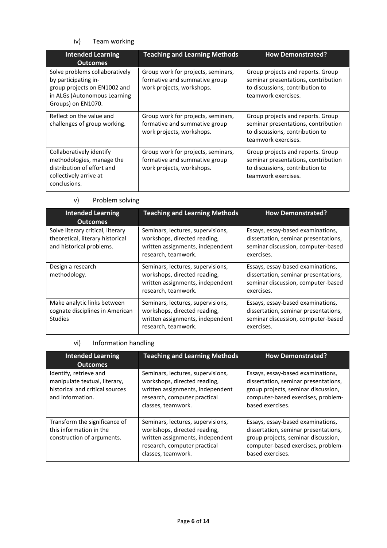### iv) Team working

| <b>Intended Learning</b><br><b>Outcomes</b>                                                                                                  | <b>Teaching and Learning Methods</b>                                                             | <b>How Demonstrated?</b>                                                                                                           |
|----------------------------------------------------------------------------------------------------------------------------------------------|--------------------------------------------------------------------------------------------------|------------------------------------------------------------------------------------------------------------------------------------|
| Solve problems collaboratively<br>by participating in-<br>group projects on EN1002 and<br>in ALGs (Autonomous Learning<br>Groups) on EN1070. | Group work for projects, seminars,<br>formative and summative group<br>work projects, workshops. | Group projects and reports. Group<br>seminar presentations, contribution<br>to discussions, contribution to<br>teamwork exercises. |
| Reflect on the value and<br>challenges of group working.                                                                                     | Group work for projects, seminars,<br>formative and summative group<br>work projects, workshops. | Group projects and reports. Group<br>seminar presentations, contribution<br>to discussions, contribution to<br>teamwork exercises. |
| Collaboratively identify<br>methodologies, manage the<br>distribution of effort and<br>collectively arrive at<br>conclusions.                | Group work for projects, seminars,<br>formative and summative group<br>work projects, workshops. | Group projects and reports. Group<br>seminar presentations, contribution<br>to discussions, contribution to<br>teamwork exercises. |

### v) Problem solving

| <b>Intended Learning</b><br><b>Outcomes</b>                                                       | <b>Teaching and Learning Methods</b>                                                                                         | <b>How Demonstrated?</b>                                                                                                      |
|---------------------------------------------------------------------------------------------------|------------------------------------------------------------------------------------------------------------------------------|-------------------------------------------------------------------------------------------------------------------------------|
| Solve literary critical, literary<br>theoretical, literary historical<br>and historical problems. | Seminars, lectures, supervisions,<br>workshops, directed reading,<br>written assignments, independent<br>research, teamwork. | Essays, essay-based examinations,<br>dissertation, seminar presentations,<br>seminar discussion, computer-based<br>exercises. |
| Design a research<br>methodology.                                                                 | Seminars, lectures, supervisions,<br>workshops, directed reading,<br>written assignments, independent<br>research, teamwork. | Essays, essay-based examinations,<br>dissertation, seminar presentations,<br>seminar discussion, computer-based<br>exercises. |
| Make analytic links between<br>cognate disciplines in American<br><b>Studies</b>                  | Seminars, lectures, supervisions,<br>workshops, directed reading,<br>written assignments, independent<br>research, teamwork. | Essays, essay-based examinations,<br>dissertation, seminar presentations,<br>seminar discussion, computer-based<br>exercises. |

## vi) Information handling

| <b>Intended Learning</b><br><b>Outcomes</b>                                                                    | <b>Teaching and Learning Methods</b>                                                                                                                        | <b>How Demonstrated?</b>                                                                                                                                                   |
|----------------------------------------------------------------------------------------------------------------|-------------------------------------------------------------------------------------------------------------------------------------------------------------|----------------------------------------------------------------------------------------------------------------------------------------------------------------------------|
| Identify, retrieve and<br>manipulate textual, literary,<br>historical and critical sources<br>and information. | Seminars, lectures, supervisions,<br>workshops, directed reading,<br>written assignments, independent<br>research, computer practical<br>classes, teamwork. | Essays, essay-based examinations,<br>dissertation, seminar presentations,<br>group projects, seminar discussion,<br>computer-based exercises, problem-<br>based exercises. |
| Transform the significance of<br>this information in the<br>construction of arguments.                         | Seminars, lectures, supervisions,<br>workshops, directed reading,<br>written assignments, independent<br>research, computer practical<br>classes, teamwork. | Essays, essay-based examinations,<br>dissertation, seminar presentations,<br>group projects, seminar discussion,<br>computer-based exercises, problem-<br>based exercises. |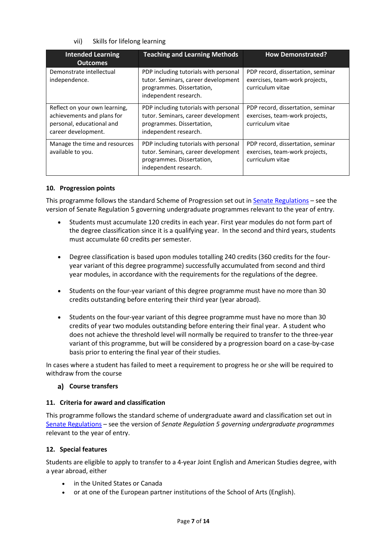### vii) Skills for lifelong learning

| <b>Intended Learning</b><br><b>Outcomes</b>                                                                     | <b>Teaching and Learning Methods</b>                                                                                               | <b>How Demonstrated?</b>                                                                |
|-----------------------------------------------------------------------------------------------------------------|------------------------------------------------------------------------------------------------------------------------------------|-----------------------------------------------------------------------------------------|
| Demonstrate intellectual<br>independence.                                                                       | PDP including tutorials with personal<br>tutor. Seminars, career development<br>programmes. Dissertation,<br>independent research. | PDP record, dissertation, seminar<br>exercises, team-work projects,<br>curriculum vitae |
| Reflect on your own learning,<br>achievements and plans for<br>personal, educational and<br>career development. | PDP including tutorials with personal<br>tutor. Seminars, career development<br>programmes. Dissertation,<br>independent research. | PDP record, dissertation, seminar<br>exercises, team-work projects,<br>curriculum vitae |
| Manage the time and resources<br>available to you.                                                              | PDP including tutorials with personal<br>tutor. Seminars, career development<br>programmes. Dissertation,<br>independent research. | PDP record, dissertation, seminar<br>exercises, team-work projects,<br>curriculum vitae |

#### **10. Progression points**

This programme follows the standard Scheme of Progression set out i[n Senate Regulations](http://www.le.ac.uk/senate-regulations) – see the version of Senate Regulation 5 governing undergraduate programmes relevant to the year of entry.

- Students must accumulate 120 credits in each year. First year modules do not form part of the degree classification since it is a qualifying year. In the second and third years, students must accumulate 60 credits per semester.
- Degree classification is based upon modules totalling 240 credits (360 credits for the fouryear variant of this degree programme) successfully accumulated from second and third year modules, in accordance with the requirements for the regulations of the degree.
- Students on the four-year variant of this degree programme must have no more than 30 credits outstanding before entering their third year (year abroad).
- Students on the four-year variant of this degree programme must have no more than 30 credits of year two modules outstanding before entering their final year. A student who does not achieve the threshold level will normally be required to transfer to the three-year variant of this programme, but will be considered by a progression board on a case-by-case basis prior to entering the final year of their studies.

In cases where a student has failed to meet a requirement to progress he or she will be required to withdraw from the course

#### **Course transfers**

### **11. Criteria for award and classification**

This programme follows the standard scheme of undergraduate award and classification set out in [Senate Regulations](http://www.le.ac.uk/senate-regulations) – see the version of *Senate Regulation 5 governing undergraduate programmes* relevant to the year of entry.

### **12. Special features**

Students are eligible to apply to transfer to a 4-year Joint English and American Studies degree, with a year abroad, either

- in the United States or Canada
- or at one of the European partner institutions of the School of Arts (English).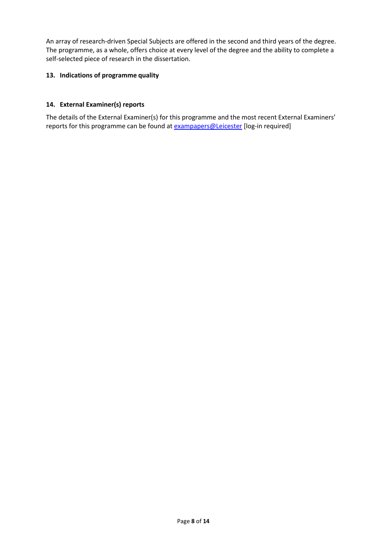An array of research-driven Special Subjects are offered in the second and third years of the degree. The programme, as a whole, offers choice at every level of the degree and the ability to complete a self-selected piece of research in the dissertation.

### **13. Indications of programme quality**

### **14. External Examiner(s) reports**

The details of the External Examiner(s) for this programme and the most recent External Examiners' reports for this programme can be found at **[exampapers@Leicester](https://exampapers.le.ac.uk/)** [log-in required]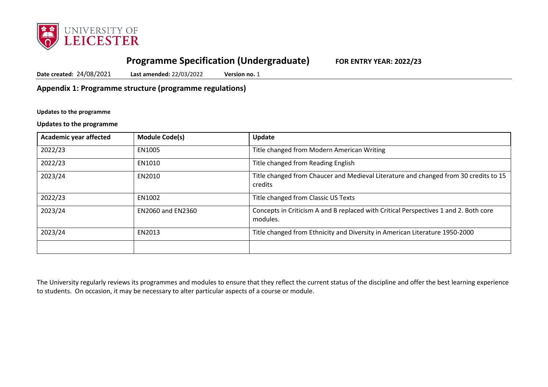

# **Programme Specification (Undergraduate) FOR ENTRY YEAR: 2022/23**

**Date created:** 24/08/2021 **Last amended:** 22/03/2022 **Version no.** 1

**Appendix 1: Programme structure (programme regulations)**

**Updates to the programme**

**Updates to the programme**

| Academic year affected | <b>Module Code(s)</b>    | Update                                                                                           |
|------------------------|--------------------------|--------------------------------------------------------------------------------------------------|
| 2022/23                | EN1005                   | Title changed from Modern American Writing                                                       |
| 2022/23                | EN1010                   | Title changed from Reading English                                                               |
| 2023/24                | EN2010                   | Title changed from Chaucer and Medieval Literature and changed from 30 credits to 15<br>credits  |
| 2022/23                | EN1002                   | Title changed from Classic US Texts                                                              |
| 2023/24                | <b>EN2060 and EN2360</b> | Concepts in Criticism A and B replaced with Critical Perspectives 1 and 2. Both core<br>modules. |
| 2023/24                | EN2013                   | Title changed from Ethnicity and Diversity in American Literature 1950-2000                      |
|                        |                          |                                                                                                  |

The University regularly reviews its programmes and modules to ensure that they reflect the current status of the discipline and offer the best learning experience to students. On occasion, it may be necessary to alter particular aspects of a course or module.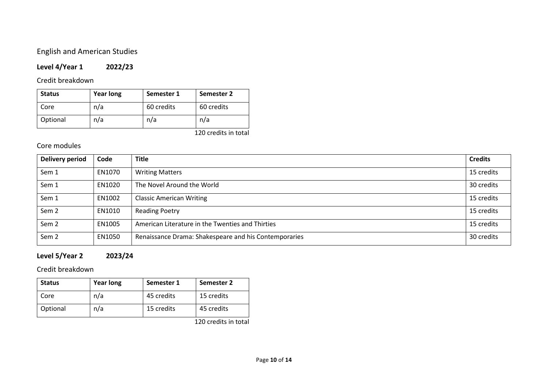# English and American Studies

### **Level 4/Year 1 2022/23**

### Credit breakdown

| <b>Status</b> | <b>Year long</b> | Semester 1 | Semester 2 |
|---------------|------------------|------------|------------|
| Core          | n/a              | 60 credits | 60 credits |
| Optional      | n/a              | n/a        | n/a        |

120 credits in total

## Core modules

| Delivery period  | Code   | <b>Title</b>                                          | <b>Credits</b> |
|------------------|--------|-------------------------------------------------------|----------------|
| Sem 1            | EN1070 | <b>Writing Matters</b>                                | 15 credits     |
| Sem 1            | EN1020 | The Novel Around the World                            | 30 credits     |
| Sem 1            | EN1002 | <b>Classic American Writing</b>                       | 15 credits     |
| Sem <sub>2</sub> | EN1010 | <b>Reading Poetry</b>                                 | 15 credits     |
| Sem <sub>2</sub> | EN1005 | American Literature in the Twenties and Thirties      | 15 credits     |
| Sem 2            | EN1050 | Renaissance Drama: Shakespeare and his Contemporaries | 30 credits     |

# **Level 5/Year 2 2023/24**

Credit breakdown

| <b>Status</b> | <b>Year long</b> | Semester 1 | Semester 2 |
|---------------|------------------|------------|------------|
| Core          | n/a              | 45 credits | 15 credits |
| Optional      | n/a              | 15 credits | 45 credits |

120 credits in total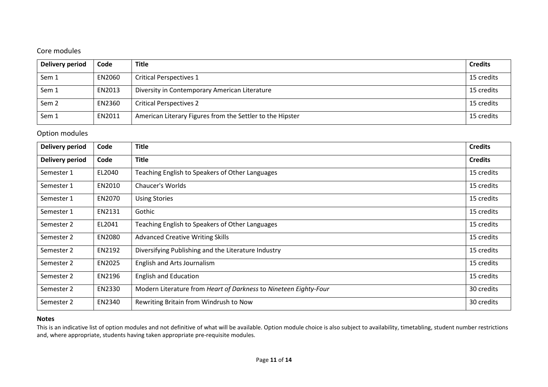### Core modules

| Delivery period  | Code   | <b>Title</b>                                              | <b>Credits</b> |
|------------------|--------|-----------------------------------------------------------|----------------|
| Sem 1            | EN2060 | <b>Critical Perspectives 1</b>                            | 15 credits     |
| Sem 1            | EN2013 | Diversity in Contemporary American Literature             | 15 credits     |
| Sem <sub>2</sub> | EN2360 | <b>Critical Perspectives 2</b>                            | 15 credits     |
| Sem 1            | EN2011 | American Literary Figures from the Settler to the Hipster | 15 credits     |

Option modules

| <b>Delivery period</b> | Code   | <b>Title</b>                                                     | <b>Credits</b> |
|------------------------|--------|------------------------------------------------------------------|----------------|
| <b>Delivery period</b> | Code   | <b>Title</b>                                                     | <b>Credits</b> |
| Semester 1             | EL2040 | Teaching English to Speakers of Other Languages                  | 15 credits     |
| Semester 1             | EN2010 | <b>Chaucer's Worlds</b>                                          | 15 credits     |
| Semester 1             | EN2070 | <b>Using Stories</b>                                             | 15 credits     |
| Semester 1             | EN2131 | Gothic                                                           | 15 credits     |
| Semester 2             | EL2041 | Teaching English to Speakers of Other Languages                  | 15 credits     |
| Semester 2             | EN2080 | <b>Advanced Creative Writing Skills</b>                          | 15 credits     |
| Semester 2             | EN2192 | Diversifying Publishing and the Literature Industry              | 15 credits     |
| Semester 2             | EN2025 | English and Arts Journalism                                      | 15 credits     |
| Semester 2             | EN2196 | <b>English and Education</b>                                     | 15 credits     |
| Semester 2             | EN2330 | Modern Literature from Heart of Darkness to Nineteen Eighty-Four | 30 credits     |
| Semester 2             | EN2340 | Rewriting Britain from Windrush to Now                           | 30 credits     |

#### **Notes**

This is an indicative list of option modules and not definitive of what will be available. Option module choice is also subject to availability, timetabling, student number restrictions and, where appropriate, students having taken appropriate pre-requisite modules.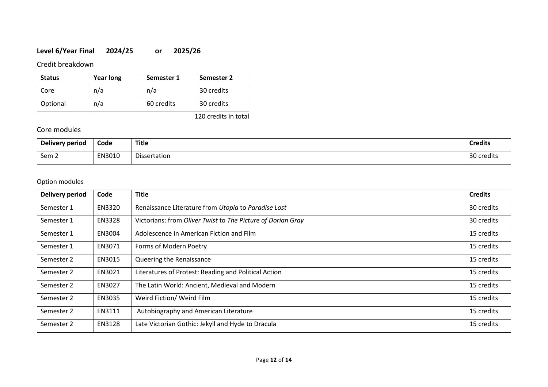## **Level 6/Year Final 2024/25 or 2025/26**

Credit breakdown

| <b>Status</b> | <b>Year long</b> | Semester 1 | Semester 2 |
|---------------|------------------|------------|------------|
| Core          | n/a              | n/a        | 30 credits |
| Optional      | n/a              | 60 credits | 30 credits |

120 credits in total

### Core modules

| <b>Delivery period</b> | Code   | Title        | <b>Credits</b> |
|------------------------|--------|--------------|----------------|
| Sem 2                  | EN3010 | Dissertation | 30 credits     |

### Option modules

| <b>Delivery period</b> | Code          | <b>Title</b>                                                | <b>Credits</b> |
|------------------------|---------------|-------------------------------------------------------------|----------------|
| Semester 1             | EN3320        | Renaissance Literature from Utopia to Paradise Lost         | 30 credits     |
| Semester 1             | <b>EN3328</b> | Victorians: from Oliver Twist to The Picture of Dorian Gray | 30 credits     |
| Semester 1             | EN3004        | Adolescence in American Fiction and Film                    | 15 credits     |
| Semester 1             | EN3071        | Forms of Modern Poetry                                      | 15 credits     |
| Semester 2             | EN3015        | Queering the Renaissance                                    | 15 credits     |
| Semester 2             | EN3021        | Literatures of Protest: Reading and Political Action        | 15 credits     |
| Semester 2             | EN3027        | The Latin World: Ancient, Medieval and Modern               | 15 credits     |
| Semester 2             | EN3035        | Weird Fiction/ Weird Film                                   | 15 credits     |
| Semester 2             | EN3111        | Autobiography and American Literature                       | 15 credits     |
| Semester 2             | EN3128        | Late Victorian Gothic: Jekyll and Hyde to Dracula           | 15 credits     |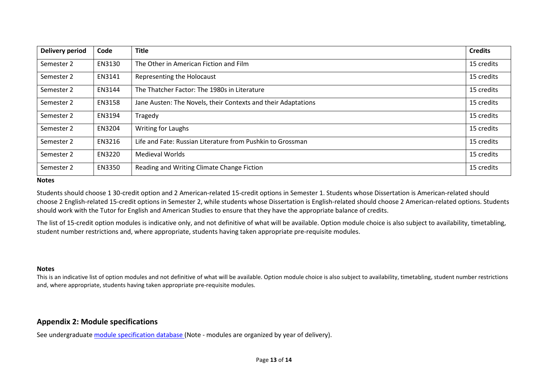| <b>Delivery period</b> | Code   | <b>Title</b>                                                  | <b>Credits</b> |
|------------------------|--------|---------------------------------------------------------------|----------------|
| Semester 2             | EN3130 | The Other in American Fiction and Film                        | 15 credits     |
| Semester 2             | EN3141 | Representing the Holocaust                                    | 15 credits     |
| Semester 2             | EN3144 | The Thatcher Factor: The 1980s in Literature                  | 15 credits     |
| Semester 2             | EN3158 | Jane Austen: The Novels, their Contexts and their Adaptations | 15 credits     |
| Semester 2             | EN3194 | Tragedy                                                       | 15 credits     |
| Semester 2             | EN3204 | <b>Writing for Laughs</b>                                     | 15 credits     |
| Semester 2             | EN3216 | Life and Fate: Russian Literature from Pushkin to Grossman    | 15 credits     |
| Semester 2             | EN3220 | <b>Medieval Worlds</b>                                        | 15 credits     |
| Semester 2             | EN3350 | Reading and Writing Climate Change Fiction                    | 15 credits     |

#### **Notes**

Students should choose 1 30-credit option and 2 American-related 15-credit options in Semester 1. Students whose Dissertation is American-related should choose 2 English-related 15-credit options in Semester 2, while students whose Dissertation is English-related should choose 2 American-related options. Students should work with the Tutor for English and American Studies to ensure that they have the appropriate balance of credits.

The list of 15-credit option modules is indicative only, and not definitive of what will be available. Option module choice is also subject to availability, timetabling, student number restrictions and, where appropriate, students having taken appropriate pre-requisite modules.

#### **Notes**

This is an indicative list of option modules and not definitive of what will be available. Option module choice is also subject to availability, timetabling, student number restrictions and, where appropriate, students having taken appropriate pre-requisite modules.

### **Appendix 2: Module specifications**

See undergraduat[e module specification database](http://www.le.ac.uk/sas/courses/documentation) (Note - modules are organized by year of delivery).